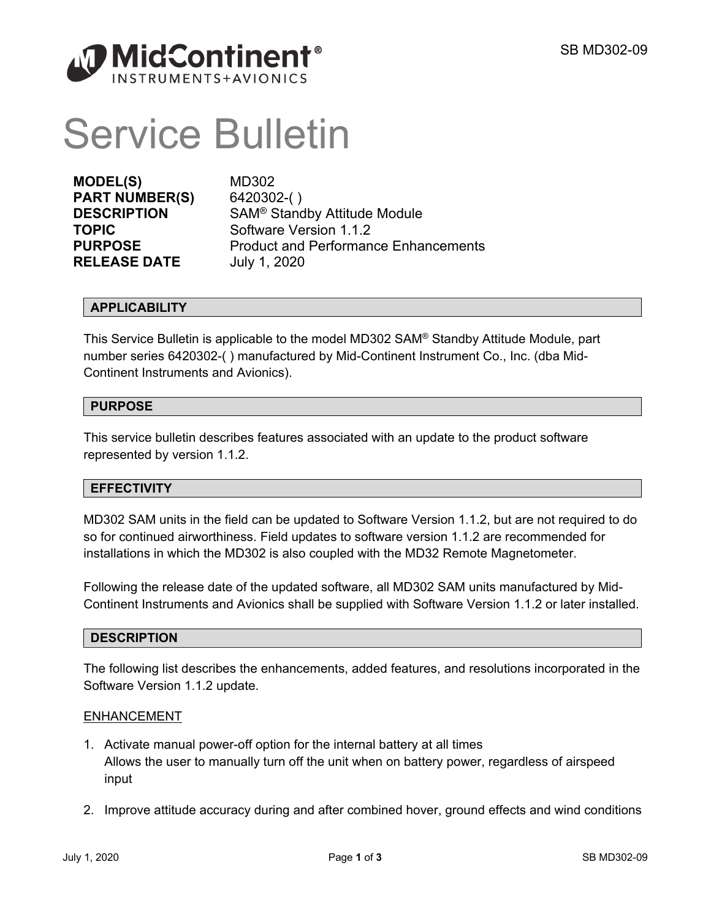

# Service Bulletin

**MODEL(S)** MD302 **PART NUMBER(S)** 6420302-( ) **RELEASE DATE** July 1, 2020

**DESCRIPTION** SAM® Standby Attitude Module **TOPIC** Software Version 1.1.2 **PURPOSE** Product and Performance Enhancements

# **APPLICABILITY**

This Service Bulletin is applicable to the model MD302 SAM® Standby Attitude Module, part number series 6420302-( ) manufactured by Mid-Continent Instrument Co., Inc. (dba Mid-Continent Instruments and Avionics).

# **PURPOSE**

This service bulletin describes features associated with an update to the product software represented by version 1.1.2.

#### **EFFECTIVITY**

MD302 SAM units in the field can be updated to Software Version 1.1.2, but are not required to do so for continued airworthiness. Field updates to software version 1.1.2 are recommended for installations in which the MD302 is also coupled with the MD32 Remote Magnetometer.

Following the release date of the updated software, all MD302 SAM units manufactured by Mid-Continent Instruments and Avionics shall be supplied with Software Version 1.1.2 or later installed.

#### **DESCRIPTION**

The following list describes the enhancements, added features, and resolutions incorporated in the Software Version 1.1.2 update.

#### ENHANCEMENT

- 1. Activate manual power-off option for the internal battery at all times Allows the user to manually turn off the unit when on battery power, regardless of airspeed input
- 2. Improve attitude accuracy during and after combined hover, ground effects and wind conditions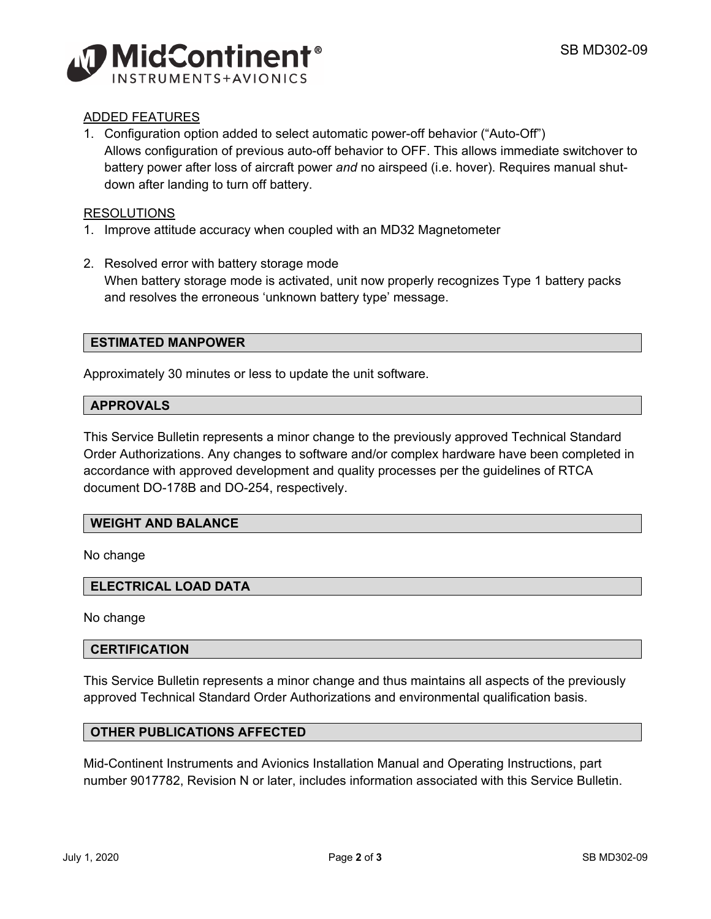

# ADDED FEATURES

1. Configuration option added to select automatic power-off behavior ("Auto-Off") Allows configuration of previous auto-off behavior to OFF. This allows immediate switchover to battery power after loss of aircraft power *and* no airspeed (i.e. hover). Requires manual shutdown after landing to turn off battery.

# RESOLUTIONS

- 1. Improve attitude accuracy when coupled with an MD32 Magnetometer
- 2. Resolved error with battery storage mode When battery storage mode is activated, unit now properly recognizes Type 1 battery packs and resolves the erroneous 'unknown battery type' message.

# **ESTIMATED MANPOWER**

Approximately 30 minutes or less to update the unit software.

#### **APPROVALS**

This Service Bulletin represents a minor change to the previously approved Technical Standard Order Authorizations. Any changes to software and/or complex hardware have been completed in accordance with approved development and quality processes per the guidelines of RTCA document DO-178B and DO-254, respectively.

# **WEIGHT AND BALANCE**

No change

#### **ELECTRICAL LOAD DATA**

No change

#### **CERTIFICATION**

This Service Bulletin represents a minor change and thus maintains all aspects of the previously approved Technical Standard Order Authorizations and environmental qualification basis.

#### **OTHER PUBLICATIONS AFFECTED**

Mid-Continent Instruments and Avionics Installation Manual and Operating Instructions, part number 9017782, Revision N or later, includes information associated with this Service Bulletin.